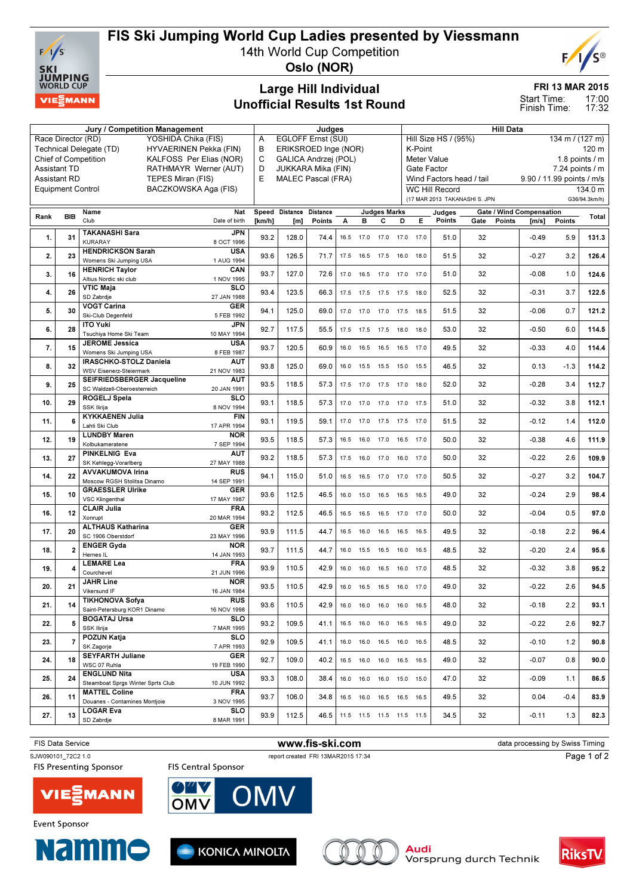

# FIS Ski Jumping World Cup Ladies presented by Viessmann

14th World Cup Competition



Oslo (NOR)

### Large Hill Individual Unofficial Results 1st Round

FRI 13 MAR 2015

17:00 17:32 Start Time: Finish Time:

|      |                          | <b>Jury / Competition Management</b>                                             | Judges                    |                                                   |                         |        |      |                |                                                                      | <b>Hill Data</b>                                          |      |                          |                                 |         |        |               |  |
|------|--------------------------|----------------------------------------------------------------------------------|---------------------------|---------------------------------------------------|-------------------------|--------|------|----------------|----------------------------------------------------------------------|-----------------------------------------------------------|------|--------------------------|---------------------------------|---------|--------|---------------|--|
|      | Race Director (RD)       | YOSHIDA Chika (FIS)                                                              | EGLOFF Ernst (SUI)<br>A   |                                                   |                         |        |      |                |                                                                      | Hill Size HS / (95%)<br>$134 \text{ m} / (127 \text{ m})$ |      |                          |                                 |         |        |               |  |
|      |                          | HYVAERINEN Pekka (FIN)<br>Technical Delegate (TD)<br><b>Chief of Competition</b> | B                         | ERIKSROED Inge (NOR)<br>C<br>GALICA Andrzej (POL) |                         |        |      |                |                                                                      | K-Point<br>120 m                                          |      |                          |                                 |         |        |               |  |
|      | <b>Assistant TD</b>      | KALFOSS Per Elias (NOR)<br>RATHMAYR Werner (AUT)                                 | D<br>JUKKARA Mika (FIN)   |                                                   |                         |        |      |                | 1.8 points $/m$<br>Meter Value<br>Gate Factor<br>$7.24$ points $/ m$ |                                                           |      |                          |                                 |         |        |               |  |
|      | <b>Assistant RD</b>      | TEPES Miran (FIS)                                                                | E                         | <b>MALEC Pascal (FRA)</b>                         |                         |        |      |                |                                                                      |                                                           |      | Wind Factors head / tail | 9.90 / 11.99 points / m/s       |         |        |               |  |
|      | <b>Equipment Control</b> |                                                                                  | BACZKOWSKA Aga (FIS)      |                                                   |                         |        |      |                |                                                                      |                                                           |      | <b>WC Hill Record</b>    |                                 |         |        | 134.0 m       |  |
|      |                          |                                                                                  |                           |                                                   |                         |        |      |                |                                                                      |                                                           |      |                          | (17 MAR 2013 TAKANASHI S. JPN   |         |        | G36/94.3km/h) |  |
| Rank | <b>BIB</b>               | Name                                                                             | Nat                       |                                                   | Speed Distance Distance |        |      |                | <b>Judges Marks</b>                                                  |                                                           |      | Judges                   | <b>Gate / Wind Compensation</b> |         |        | Total         |  |
|      |                          | Club                                                                             | Date of birth             | [km/h]                                            | [m]                     | Points | А    | в              | С                                                                    | D                                                         | Е    | Points                   | Gate<br>Points                  | [m/s]   | Points |               |  |
| 1.   | 31                       | <b>TAKANASHI Sara</b><br><b>KURARAY</b>                                          | JPN<br>8 OCT 1996         | 93.2                                              | 128.0                   | 74.4   | 16.5 | 17.0           | 17.0                                                                 | 17.0                                                      | 17.0 | 51.0                     | 32                              | $-0.49$ | 5.9    | 131.3         |  |
|      |                          | <b>HENDRICKSON Sarah</b>                                                         | USA                       |                                                   |                         |        |      |                |                                                                      |                                                           |      |                          |                                 |         |        |               |  |
| 2.   | 23                       | Womens Ski Jumping USA                                                           | 1 AUG 1994                | 93.6                                              | 126.5                   | 71.7   |      | 17.5 16.5 17.5 |                                                                      | 16.0                                                      | 18.0 | 51.5                     | 32                              | $-0.27$ | 3.2    | 126.4         |  |
| 3.   | 16                       | <b>HENRICH Taylor</b><br>Altius Nordic ski club                                  | CAN<br>1 NOV 1995         | 93.7                                              | 127.0                   | 72.6   |      | 17.0 16.5 17.0 |                                                                      | 17.0 17.0                                                 |      | 51.0                     | 32                              | $-0.08$ | 1.0    | 124.6         |  |
|      | 26                       | <b>VTIC Maja</b>                                                                 | <b>SLO</b>                | 93.4                                              |                         |        |      |                |                                                                      |                                                           |      | 52.5                     | 32                              |         | 3.7    | 122.5         |  |
| 4.   |                          | SD Zabrdje                                                                       | 27 JAN 1988               |                                                   | 123.5                   | 66.3   |      | 17.5 17.5 17.5 |                                                                      | 17.5                                                      | 18.0 |                          |                                 | $-0.31$ |        |               |  |
| 5.   | 30                       | <b>VOGT Carina</b><br>Ski-Club Degenfeld                                         | GER<br>5 FEB 1992         | 94.1                                              | 125.0                   | 69.0   | 17.0 | 17.0           | 17.0                                                                 | 17.5                                                      | 18.5 | 51.5                     | 32                              | $-0.06$ | 0.7    | 121.2         |  |
|      |                          | <b>ITO Yuki</b>                                                                  | JPN                       | 92.7                                              | 117.5                   | 55.5   |      |                |                                                                      |                                                           |      | 53.0                     | 32                              | $-0.50$ | 6.0    |               |  |
| 6.   | 28                       | Tsuchiya Home Ski Team                                                           | 10 MAY 1994               |                                                   |                         |        | 17.5 | 17.5 17.5      |                                                                      | 18.0                                                      | 18.0 |                          |                                 |         |        | 114.5         |  |
| 7.   | 15                       | <b>JEROME Jessica</b><br>Womens Ski Jumping USA                                  | <b>USA</b><br>8 FEB 1987  | 93.7                                              | 120.5                   | 60.9   | 16.0 | 16.5           | 16.5                                                                 | 16.5                                                      | 17.0 | 49.5                     | 32                              | $-0.33$ | 4.0    | 114.4         |  |
|      | 32                       | <b>IRASCHKO-STOLZ Daniela</b>                                                    | <b>AUT</b>                | 93.8                                              | 125.0                   | 69.0   |      |                |                                                                      |                                                           |      | 46.5                     | 32                              | 0.13    | $-1.3$ | 114.2         |  |
| 8.   |                          | WSV Eisenerz-Steiermark                                                          | 21 NOV 1983               |                                                   |                         |        | 16.0 | 15.5           | 15.5                                                                 | 15.0                                                      | 15.5 |                          |                                 |         |        |               |  |
| 9.   | 25                       | SEIFRIEDSBERGER Jacqueline<br>SC Waldzell-Oberoesterreich                        | <b>AUT</b><br>20 JAN 1991 | 93.5                                              | 118.5                   | 57.3   | 17.5 | 17.0           | 17.5                                                                 | 17.0                                                      | 18.0 | 52.0                     | 32                              | $-0.28$ | 3.4    | 112.7         |  |
| 10.  | 29                       | ROGELJ Spela                                                                     | <b>SLO</b>                | 93.1                                              | 118.5                   | 57.3   |      | 17.0 17.0 17.0 |                                                                      | 17.0 17.5                                                 |      | 51.0                     | 32                              | $-0.32$ | 3.8    | 112.1         |  |
|      |                          | SSK Ilirija                                                                      | 8 NOV 1994                |                                                   |                         |        |      |                |                                                                      |                                                           |      |                          |                                 |         |        |               |  |
| 11.  |                          | <b>KYKKAENEN Julia</b><br>Lahti Ski Club                                         | <b>FIN</b><br>17 APR 1994 | 93.1                                              | 119.5                   | 59.1   |      | 17.0 17.0 17.5 |                                                                      | 17.5 17.0                                                 |      | 51.5                     | 32                              | $-0.12$ | 1.4    | 112.0         |  |
| 12.  | 19                       | <b>LUNDBY Maren</b>                                                              | <b>NOR</b>                | 93.5                                              | 118.5                   | 57.3   |      | 16.5 16.0 17.0 |                                                                      | 16.5 17.0                                                 |      | 50.0                     | 32                              | $-0.38$ | 4.6    | 111.9         |  |
|      |                          | Kolbukameratene<br>PINKELNIG Eva                                                 | 7 SEP 1994<br><b>AUT</b>  |                                                   |                         |        |      |                |                                                                      |                                                           |      |                          |                                 |         |        |               |  |
| 13.  | 27                       | SK Kehlegg-Vorarlberg                                                            | 27 MAY 1988               | 93.2                                              | 118.5                   | 57.3   | 17.5 | 16.0           | 17.0                                                                 | 16.0                                                      | 17.0 | 50.0                     | 32                              | $-0.22$ | 2.6    | 109.9         |  |
| 14.  | 22                       | <b>AVVAKUMOVA Irina</b>                                                          | <b>RUS</b>                | 94.1                                              | 115.0                   | 51.0   | 16.5 | 16.5           | 17.0                                                                 | 17.0                                                      | 17.0 | 50.5                     | 32                              | $-0.27$ | 3.2    | 104.7         |  |
|      |                          | Moscow RGSH Stolitsa Dinamo<br><b>GRAESSLER Ulrike</b>                           | 14 SEP 1991<br>GER        |                                                   |                         |        |      |                |                                                                      |                                                           |      |                          |                                 |         |        |               |  |
| 15.  | 10                       | <b>VSC Klingenthal</b>                                                           | 17 MAY 1987               | 93.6                                              | 112.5                   | 46.5   | 16.0 | 15.0           | 16.5                                                                 | 16.5                                                      | 16.5 | 49.0                     | 32                              | $-0.24$ | 2.9    | 98.4          |  |
| 16.  | 12                       | <b>CLAIR Julia</b>                                                               | <b>FRA</b>                | 93.2                                              | 112.5                   | 46.5   | 16.5 | 16.5           | 16.5                                                                 | 17.0                                                      | 17.0 | 50.0                     | 32                              | $-0.04$ | 0.5    | 97.0          |  |
|      |                          | Xonrupt<br><b>ALTHAUS Katharina</b>                                              | 20 MAR 1994<br><b>GER</b> |                                                   |                         |        |      |                |                                                                      |                                                           |      |                          |                                 |         |        |               |  |
| 17.  | 20                       | SC 1906 Oberstdorf                                                               | 23 MAY 1996               | 93.9                                              | 111.5                   | 44.7   | 16.5 | 16.0           | 16.5                                                                 | 16.5                                                      | 16.5 | 49.5                     | 32                              | $-0.18$ | 2.2    | 96.4          |  |
| 18.  |                          | <b>ENGER Gyda</b>                                                                | <b>NOR</b>                | 93.7                                              | 111.5                   | 44.7   | 16.0 | 15.5           | 16.5                                                                 | 16.0                                                      | 16.5 | 48.5                     | 32                              | $-0.20$ | 2.4    | 95.6          |  |
|      |                          | Hernes IL<br><b>LEMARE Lea</b>                                                   | 14 JAN 1993<br><b>FRA</b> |                                                   |                         |        |      |                |                                                                      |                                                           |      |                          |                                 |         |        |               |  |
| 19.  |                          | Courchevel                                                                       | 21 JUN 1996               | 93.9                                              | 110.5                   | 42.9   | 16.0 | 16.0           | 16.5                                                                 | 16.0                                                      | 17.0 | 48.5                     | 32                              | $-0.32$ | 3.8    | 95.2          |  |
| 20.  | 21                       | <b>JAHR Line</b>                                                                 | NOR                       | 93.5                                              | 110.5                   | 42.9   |      | 16.0 16.5 16.5 |                                                                      | 16.0 17.0                                                 |      | 49.0                     | 32                              | $-0.22$ | 2.6    | 94.5          |  |
|      |                          | Vikersund IF<br><b>TIKHONOVA Sofya</b>                                           | 16 JAN 1984<br><b>RUS</b> |                                                   |                         |        |      |                |                                                                      |                                                           |      |                          |                                 |         |        |               |  |
| 21.  | 14                       | Saint-Petersburg KOR1 Dinamo                                                     | 16 NOV 1998               | 93.6                                              | 110.5                   | 42.9   |      |                | 16.0 16.0 16.0 16.0 16.5                                             |                                                           |      | 48.0                     | 32                              | $-0.18$ | 2.2    | 93.1          |  |
| 22.  | 5                        | <b>BOGATAJ Ursa</b>                                                              | SLO                       | 93.2                                              | 109.5                   | 41.1   |      |                | 16.5 16.0 16.0 16.5 16.5                                             |                                                           |      | 49.0                     | 32                              | $-0.22$ | 2.6    | 92.7          |  |
|      |                          | SSK Ilirija<br>POZUN Katja                                                       | 7 MAR 1995<br><b>SLO</b>  |                                                   |                         |        |      |                |                                                                      |                                                           |      |                          |                                 |         |        |               |  |
| 23.  |                          | SK Zagorje                                                                       | 7 APR 1993                | 92.9                                              | 109.5                   | 41.1   |      |                | 16.0 16.0 16.5 16.0 16.5                                             |                                                           |      | 48.5                     | 32                              | $-0.10$ | $1.2$  | 90.8          |  |
| 24.  | 18                       | <b>SEYFARTH Juliane</b>                                                          | GER                       | 92.7                                              | 109.0                   | 40.2   |      |                | 16.5  16.0  16.0  16.5  16.5                                         |                                                           |      | 49.0                     | 32                              | $-0.07$ | 0.8    | 90.0          |  |
|      |                          | WSC 07 Ruhla<br><b>ENGLUND Nita</b>                                              | 19 FEB 1990<br><b>USA</b> |                                                   |                         |        |      |                |                                                                      |                                                           |      |                          |                                 |         |        |               |  |
| 25.  | 24                       | Steamboat Sprgs Winter Sprts Club                                                | 10 JUN 1992               | 93.3                                              | 108.0                   | 38.4   |      |                | 16.0 16.0 16.0 15.0 15.0                                             |                                                           |      | 47.0                     | 32                              | $-0.09$ | 1.1    | 86.5          |  |
| 26.  | 11                       | <b>MATTEL Coline</b>                                                             | <b>FRA</b>                | 93.7                                              | 106.0                   | 34.8   |      |                | 16.5 16.0 16.5 16.5 16.5                                             |                                                           |      | 49.5                     | 32                              | 0.04    | $-0.4$ | 83.9          |  |
|      |                          | Douanes - Contamines Montjoie<br><b>LOGAR Eva</b>                                | 3 NOV 1995<br><b>SLO</b>  |                                                   |                         |        |      |                |                                                                      |                                                           |      |                          |                                 |         |        |               |  |
| 27.  | 13                       | SD Zabrdje                                                                       | 8 MAR 1991                | 93.9                                              | 112.5                   | 46.5   |      |                | 11.5 11.5 11.5 11.5 11.5                                             |                                                           |      | 34.5                     | 32                              | $-0.11$ | 1.3    | 82.3          |  |
|      |                          |                                                                                  |                           |                                                   |                         |        |      |                |                                                                      |                                                           |      |                          |                                 |         |        |               |  |